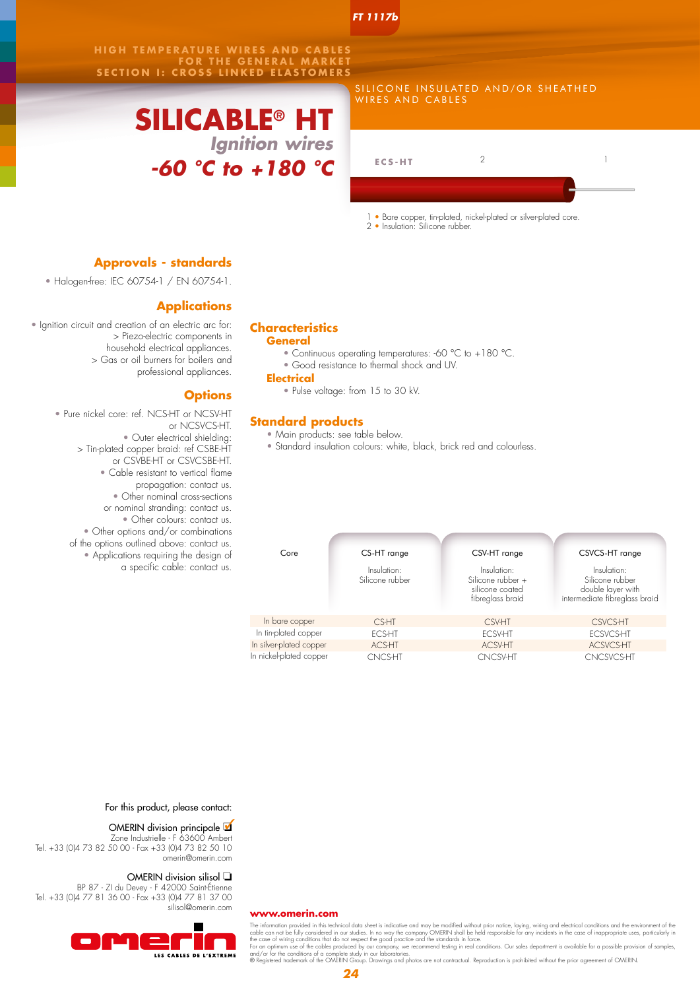*FT 1117b*

**HIGH TEMPERATURE WIRES AND CABLES FOR THE GENERAL MARKET SECTION I: CROSS LINKED ELASTOMERS**

# **SILICABLE® HT** *Ignition wires -60 °C to +180 °C*

| SILICONE INSULATED AND/OR SHEATHED |  |
|------------------------------------|--|
| I WIRES AND CABLES                 |  |
|                                    |  |

| $ECS-HT$ |  |
|----------|--|
|          |  |

1 • Bare copper, tin-plated, nickel-plated or silver-plated core.

2 • Insulation: Silicone rubber.

### **Approvals - standards**

• Halogen-free: IEC 60754-1 / EN 60754-1.

### **Applications**

• Ignition circuit and creation of an electric arc for: > Piezo-electric components in household electrical appliances. > Gas or oil burners for boilers and professional appliances.

### **Options**

• Pure nickel core: ref. NCS-HT or NCSV-HT or NCSVCS-HT. • Outer electrical shielding: > Tin-plated copper braid: ref CSBE-HT or CSVBE-HT or CSVCSBE-HT. • Cable resistant to vertical flame propagation: contact us. • Other nominal cross-sections or nominal stranding: contact us. • Other colours: contact us. • Other options and/or combinations of the options outlined above: contact us. • Applications requiring the design of a specific cable: contact us.

## **Characteristics**

**General**

- Continuous operating temperatures: -60 °C to +180 °C.
- Good resistance to thermal shock and UV.

**Electrical**

• Pulse voltage: from 15 to 30 kV.

### **Standard products**

- Main products: see table below.
- Standard insulation colours: white, black, brick red and colourless.

| Core                    | CS-HT range                    |  | CSV-HT range                                                            |  | CSVCS-HT range                                                                       |  |  |  |
|-------------------------|--------------------------------|--|-------------------------------------------------------------------------|--|--------------------------------------------------------------------------------------|--|--|--|
|                         | Insulation:<br>Silicone rubber |  | Insulation:<br>Silicone rubber +<br>silicone coated<br>fibreglass braid |  | Insulation:<br>Silicone rubber<br>double layer with<br>intermediate fibreglass braid |  |  |  |
| In bare copper          | CS-HT                          |  | <b>CSV-HT</b>                                                           |  | <b>CSVCS-HT</b>                                                                      |  |  |  |
| In tin-plated copper    | <b>FCS-HT</b>                  |  | <b>ECSV-HT</b>                                                          |  | <b>ECSVCS-HT</b>                                                                     |  |  |  |
| In silver-plated copper | <b>ACS-HT</b>                  |  | <b>ACSV-HT</b>                                                          |  | ACSVCS-HT                                                                            |  |  |  |
| In nickel-plated copper | <b>CNCS-HT</b>                 |  | <b>CNCSV-HT</b>                                                         |  | <b>CNCSVCS-HT</b>                                                                    |  |  |  |

For this product, please contact:

### OMERIN division principale  $\blacksquare$

Zone Industrielle - F 63600 Ambert Tel. +33 (0)4 73 82 50 00 - Fax +33 (0)4 73 82 50 10 omerin@omerin.com

#### OMERIN division silisol  $\Box$

BP 87 - ZI du Devey - F 42000 Saint-Étienne Tel. +33 (0)4 77 81 36 00 - Fax +33 (0)4 77 81 37 00 silisol@omerin.com



#### **www.omerin.com**

The information provided in this technical data sheet is indicative and may be modified without prior notice, laying, wiring and electrical conditions and the environment of the case of inappropriate uses, particularly in